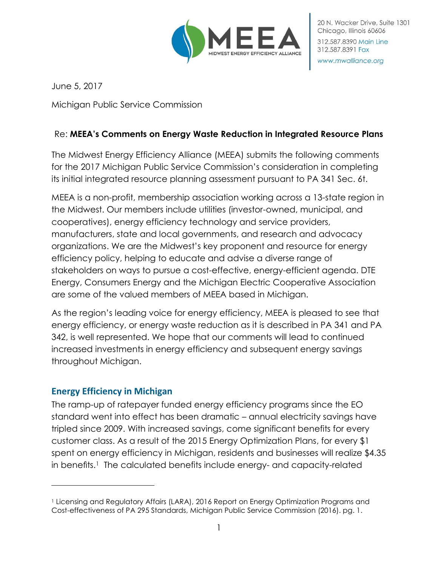

June 5, 2017

Michigan Public Service Commission

## Re: **MEEA's Comments on Energy Waste Reduction in Integrated Resource Plans**

The Midwest Energy Efficiency Alliance (MEEA) submits the following comments for the 2017 Michigan Public Service Commission's consideration in completing its initial integrated resource planning assessment pursuant to PA 341 Sec. 6t.

MEEA is a non-profit, membership association working across a 13-state region in the Midwest. Our members include utilities (investor-owned, municipal, and cooperatives), energy efficiency technology and service providers, manufacturers, state and local governments, and research and advocacy organizations. We are the Midwest's key proponent and resource for energy efficiency policy, helping to educate and advise a diverse range of stakeholders on ways to pursue a cost-effective, energy-efficient agenda. DTE Energy, Consumers Energy and the Michigan Electric Cooperative Association are some of the valued members of MEEA based in Michigan.

As the region's leading voice for energy efficiency, MEEA is pleased to see that energy efficiency, or energy waste reduction as it is described in PA 341 and PA 342, is well represented. We hope that our comments will lead to continued increased investments in energy efficiency and subsequent energy savings throughout Michigan.

## **Energy Efficiency in Michigan**

l

The ramp-up of ratepayer funded energy efficiency programs since the EO standard went into effect has been dramatic – annual electricity savings have tripled since 2009. With increased savings, come significant benefits for every customer class. As a result of the 2015 Energy Optimization Plans, for every \$1 spent on energy efficiency in Michigan, residents and businesses will realize \$4.35 in benefits.<sup>1</sup> The calculated benefits include energy- and capacity-related

<sup>1</sup> Licensing and Regulatory Affairs (LARA), 2016 Report on Energy Optimization Programs and Cost-effectiveness of PA 295 Standards, Michigan Public Service Commission (2016). pg. 1.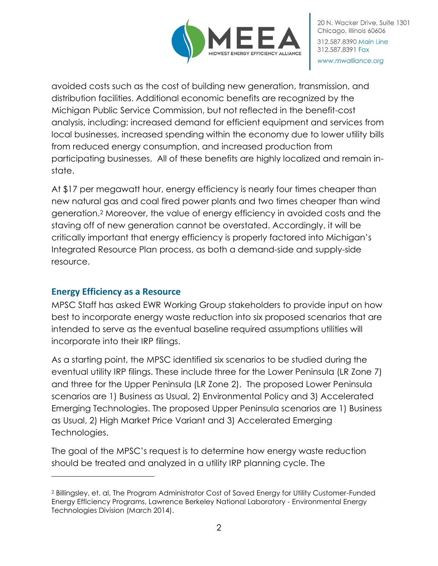

avoided costs such as the cost of building new generation, transmission, and distribution facilities. Additional economic benefits are recognized by the Michigan Public Service Commission, but not reflected in the benefit-cost analysis, including: increased demand for efficient equipment and services from local businesses, increased spending within the economy due to lower utility bills from reduced energy consumption, and increased production from participating businesses. All of these benefits are highly localized and remain instate.

At \$17 per megawatt hour, energy efficiency is nearly four times cheaper than new natural gas and coal fired power plants and two times cheaper than wind generation.<sup>2</sup> Moreover, the value of energy efficiency in avoided costs and the staving off of new generation cannot be overstated. Accordingly, it will be critically important that energy efficiency is properly factored into Michigan's Integrated Resource Plan process, as both a demand-side and supply-side resource.

## **Energy Efficiency as a Resource**

 $\overline{a}$ 

MPSC Staff has asked EWR Working Group stakeholders to provide input on how best to incorporate energy waste reduction into six proposed scenarios that are intended to serve as the eventual baseline required assumptions utilities will incorporate into their IRP filings.

As a starting point, the MPSC identified six scenarios to be studied during the eventual utility IRP filings. These include three for the Lower Peninsula (LR Zone 7) and three for the Upper Peninsula (LR Zone 2). The proposed Lower Peninsula scenarios are 1) Business as Usual, 2) Environmental Policy and 3) Accelerated Emerging Technologies. The proposed Upper Peninsula scenarios are 1) Business as Usual, 2) High Market Price Variant and 3) Accelerated Emerging Technologies.

The goal of the MPSC's request is to determine how energy waste reduction should be treated and analyzed in a utility IRP planning cycle. The

<sup>2</sup> Billingsley, et. al, The Program Administrator Cost of Saved Energy for Utility Customer-Funded Energy Efficiency Programs, Lawrence Berkeley National Laboratory - Environmental Energy Technologies Division (March 2014).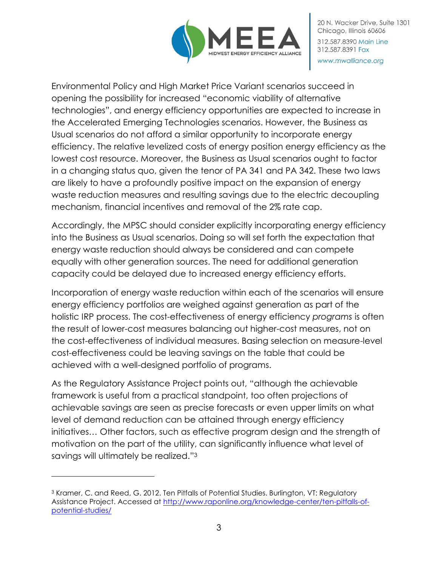

20 N. Wacker Drive, Suite 1301 Chicago, Illinois 60606 312,587,8390 Main Line 312.587.8391 Fax www.mwalliance.org

Environmental Policy and High Market Price Variant scenarios succeed in opening the possibility for increased "economic viability of alternative technologies", and energy efficiency opportunities are expected to increase in the Accelerated Emerging Technologies scenarios. However, the Business as Usual scenarios do not afford a similar opportunity to incorporate energy efficiency. The relative levelized costs of energy position energy efficiency as the lowest cost resource. Moreover, the Business as Usual scenarios ought to factor in a changing status quo, given the tenor of PA 341 and PA 342. These two laws are likely to have a profoundly positive impact on the expansion of energy waste reduction measures and resulting savings due to the electric decoupling mechanism, financial incentives and removal of the 2% rate cap.

Accordingly, the MPSC should consider explicitly incorporating energy efficiency into the Business as Usual scenarios. Doing so will set forth the expectation that energy waste reduction should always be considered and can compete equally with other generation sources. The need for additional generation capacity could be delayed due to increased energy efficiency efforts.

Incorporation of energy waste reduction within each of the scenarios will ensure energy efficiency portfolios are weighed against generation as part of the holistic IRP process. The cost-effectiveness of energy efficiency *programs* is often the result of lower-cost measures balancing out higher-cost measures, not on the cost-effectiveness of individual measures. Basing selection on measure-level cost-effectiveness could be leaving savings on the table that could be achieved with a well-designed portfolio of programs.

As the Regulatory Assistance Project points out, "although the achievable framework is useful from a practical standpoint, too often projections of achievable savings are seen as precise forecasts or even upper limits on what level of demand reduction can be attained through energy efficiency initiatives… Other factors, such as effective program design and the strength of motivation on the part of the utility, can significantly influence what level of savings will ultimately be realized."<sup>3</sup>

 $\overline{a}$ 

<sup>3</sup> Kramer, C. and Reed, G. 2012. Ten Pitfalls of Potential Studies. Burlington, VT: Regulatory Assistance Project. Accessed at [http://www.raponline.org/knowledge-center/ten-pitfalls-of](http://www.raponline.org/knowledge-center/ten-pitfalls-of-potential-studies/)[potential-studies/](http://www.raponline.org/knowledge-center/ten-pitfalls-of-potential-studies/)